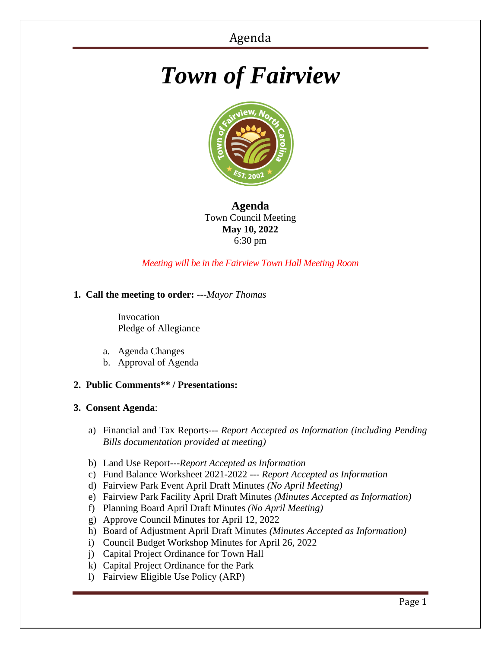# *Town of Fairview*



**Agenda** Town Council Meeting **May 10, 2022** 6:30 pm

*Meeting will be in the Fairview Town Hall Meeting Room*

# **1. Call the meeting to order:** *---Mayor Thomas*

 Invocation Pledge of Allegiance

- a. Agenda Changes
- b. Approval of Agenda

## **2. Public Comments\*\* / Presentations:**

## **3. Consent Agenda**:

- a) Financial and Tax Reports--- *Report Accepted as Information (including Pending Bills documentation provided at meeting)*
- b) Land Use Report---*Report Accepted as Information*
- c) Fund Balance Worksheet 2021-2022 --- *Report Accepted as Information*
- d) Fairview Park Event April Draft Minutes *(No April Meeting)*
- e) Fairview Park Facility April Draft Minutes *(Minutes Accepted as Information)*
- f) Planning Board April Draft Minutes *(No April Meeting)*
- g) Approve Council Minutes for April 12, 2022
- h) Board of Adjustment April Draft Minutes *(Minutes Accepted as Information)*
- i) Council Budget Workshop Minutes for April 26, 2022
- j) Capital Project Ordinance for Town Hall
- k) Capital Project Ordinance for the Park
- l) Fairview Eligible Use Policy (ARP)